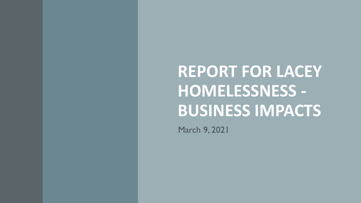**REPORT FOR LACEY HOMELESSNESS - BUSINESS IMPACTS**

March 9, 2021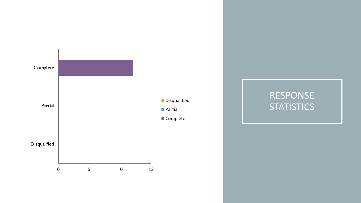

## RESPONSE **STATISTICS**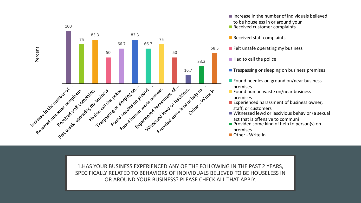

Increase in the number of individuals believed to be houseless in or around your Received customer complaints

Received staff complaints

- $\blacksquare$  Felt unsafe operating my business
	- Had to call the police

**Trespassing or sleeping on business premises** 

Found needles on ground on/near business premises

**Found human waste on/near business** premises

**Experienced harassment of business owner,** staff, or customers

Witnessed lewd or lascivious behavior (a sexual act that is offensive to communi

- $\blacksquare$  Provided some kind of help to person(s) on
	- premises
- Other Write In

1.HAS YOUR BUSINESS EXPERIENCED ANY OF THE FOLLOWING IN THE PAST 2 YEARS, SPECIFICALLY RELATED TO BEHAVIORS OF INDIVIDUALS BELIEVED TO BE HOUSELESS IN OR AROUND YOUR BUSINESS? PLEASE CHECK ALL THAT APPLY.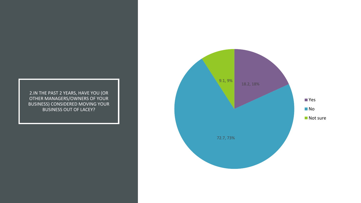2.IN THE PAST 2 YEARS, HAVE YOU (OR OTHER MANAGERS/OWNERS OF YOUR BUSINESS) CONSIDERED MOVING YOUR BUSINESS OUT OF LACEY?

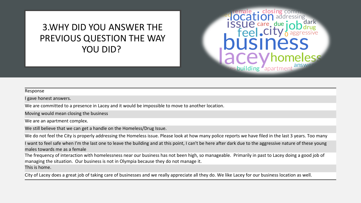### 3.WHY DID YOU ANSWER THE PREVIOUS QUESTION THE WAY YOU DID?

# nale, closing comm **ISSUE** care, due eel.CI Iding apartme

#### Response

I gave honest answers.

We are committed to a presence in Lacey and it would be impossible to move to another location.

Moving would mean closing the business

We are an apartment complex.

We still believe that we can get a handle on the Homeless/Drug Issue.

We do not feel the City is properly addressing the Homeless issue. Please look at how many police reports we have filed in the last 3 years. Too many

I want to feel safe when I'm the last one to leave the building and at this point, I can't be here after dark due to the aggressive nature of these young males towards me as a female

The frequency of interaction with homelessness near our business has not been high, so manageable. Primarily in past to Lacey doing a good job of managing the situation. Our business is not in Olympia because they do not manage it.

This is home.

City of Lacey does a great job of taking care of businesses and we really appreciate all they do. We like Lacey for our business location as well.